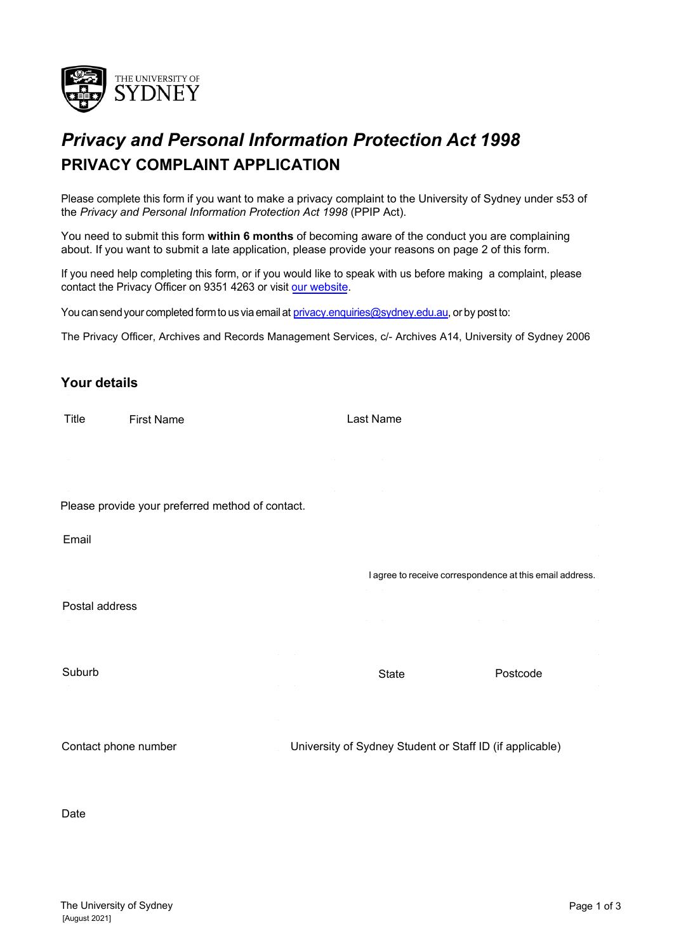

## *Privacy and Personal Information Protection Act 1998* **PRIVACY COMPLAINT APPLICATION**

Please complete this form if you want to make a privacy complaint to the University of Sydney under s53 of the *Privacy and Personal Information Protection Act 1998* (PPIP Act).

[You need](https://sydney.edu.au/arms/gipa) to submit this form **within 6 months** of becoming aware of the conduct you are complaining about. If you want to submit a late application, please provide your reasons on page 2 of this form.

If you need help completing this form, or if you would like to speak with us before making a complaint, please contact the Privacy Officer on 9351 4263 or visit our website.

You can send your completed form to us via email at [privacy.enquiries@sydney.edu.au](mailto:privacy.enquiries@sydney.edu.au)[, o](mailto:gipa.enquiries@sydney.edu.au)r by post to:

The Privacy Officer, Archives and Records Management Services, c/- Archives A14, University of Sydney 2006

## **Your details**

| Title                                            | <b>First Name</b> | Last Name                                                |          |
|--------------------------------------------------|-------------------|----------------------------------------------------------|----------|
|                                                  |                   |                                                          |          |
|                                                  |                   |                                                          |          |
|                                                  |                   |                                                          |          |
| Please provide your preferred method of contact. |                   |                                                          |          |
| Email                                            |                   |                                                          |          |
|                                                  |                   | I agree to receive correspondence at this email address. |          |
| Postal address                                   |                   |                                                          |          |
|                                                  |                   |                                                          |          |
|                                                  |                   |                                                          |          |
| Suburb                                           |                   | State                                                    | Postcode |
|                                                  |                   |                                                          |          |
|                                                  |                   |                                                          |          |

Contact phone number University of Sydney Student or Staff ID (if applicable)

Date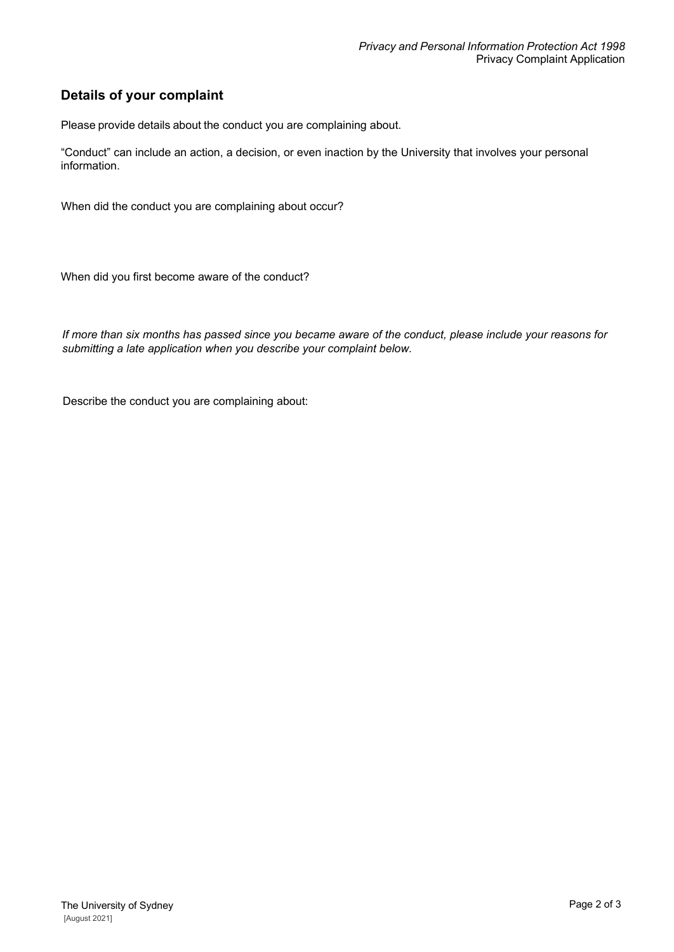## **Details of your complaint**

Please provide details about the conduct you are complaining about.

"Conduct" can include an action, a decision, or even inaction by the University that involves your personal information.

When did the conduct you are complaining about occur?

When did you first become aware of the conduct?

*If more than six months has passed since you became aware of the conduct, please include your reasons for submitting a late application when you describe your complaint below.*

Describe the conduct you are complaining about: